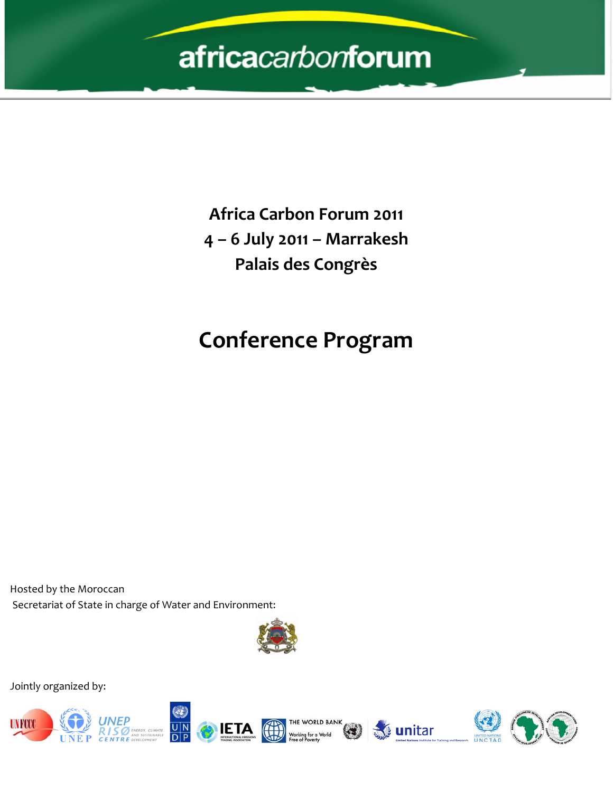# africacarbonforum

**Africa Carbon Forum 2011 4 – 6 July 2011 – Marrakesh Palais des Congrès**

## **Conference Program**

Hosted by the Moroccan Secretariat of State in charge of Water and Environment:



Jointly organized by:









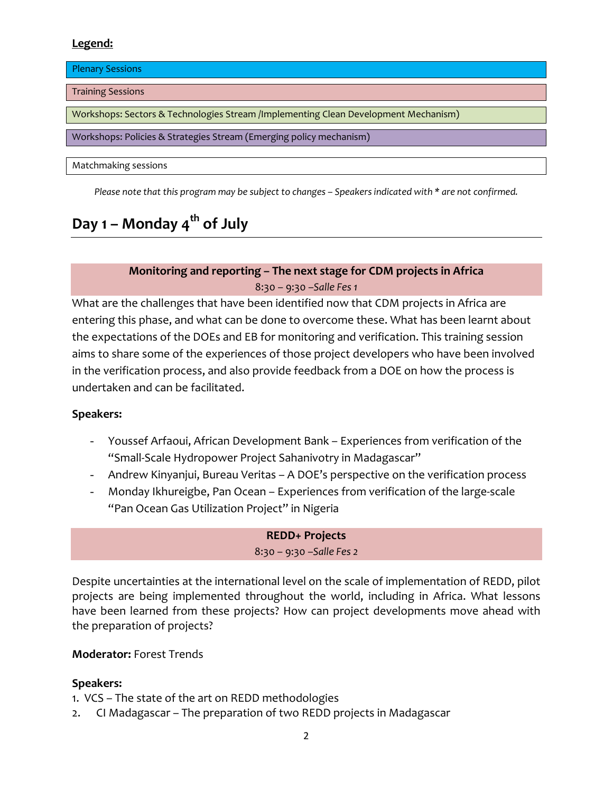## **Legend:**

Plenary Sessions

Training Sessions

Workshops: Sectors & Technologies Stream /Implementing Clean Development Mechanism)

Workshops: Policies & Strategies Stream (Emerging policy mechanism)

Matchmaking sessions

Please note that this program may be subject to changes - Speakers indicated with \* are not confirmed.

## **Day 1 – Monday 4th of July**

## **Monitoring and reporting – The next stage for CDM projects in Africa** 8:30 – 9:30 –*Salle Fes 1*

What are the challenges that have been identified now that CDM projects in Africa are entering this phase, and what can be done to overcome these. What has been learnt about the expectations of the DOEs and EB for monitoring and verification. This training session aims to share some of the experiences of those project developers who have been involved in the verification process, and also provide feedback from a DOE on how the process is undertaken and can be facilitated.

## **Speakers:**

- Youssef Arfaoui, African Development Bank Experiences from verification of the "Small‐Scale [Hydropower](http://cdm.unfccc.int/Projects/DB/TUEV-SUED1269612670.69/view) Project Sahanivotry in Madagascar"
- Andrew Kinyanjui, Bureau Veritas A DOE's perspective on the verification process
- Monday Ikhureigbe, Pan Ocean Experiences from verification of the large-scale "Pan Ocean Gas [Utilization](http://cdm.unfccc.int/Projects/DB/DNV-CUK1218208551.22/view) Project" in Nigeria

## **REDD+ Projects** 8:30 – 9:30 –*Salle Fes 2*

Despite uncertainties at the international level on the scale of implementation of REDD, pilot projects are being implemented throughout the world, including in Africa. What lessons have been learned from these projects? How can project developments move ahead with the preparation of projects?

## **Moderator:** Forest Trends

## **Speakers:**

- 1. VCS The state of the art on REDD methodologies
- 2. CI Madagascar The preparation of two REDD projects in Madagascar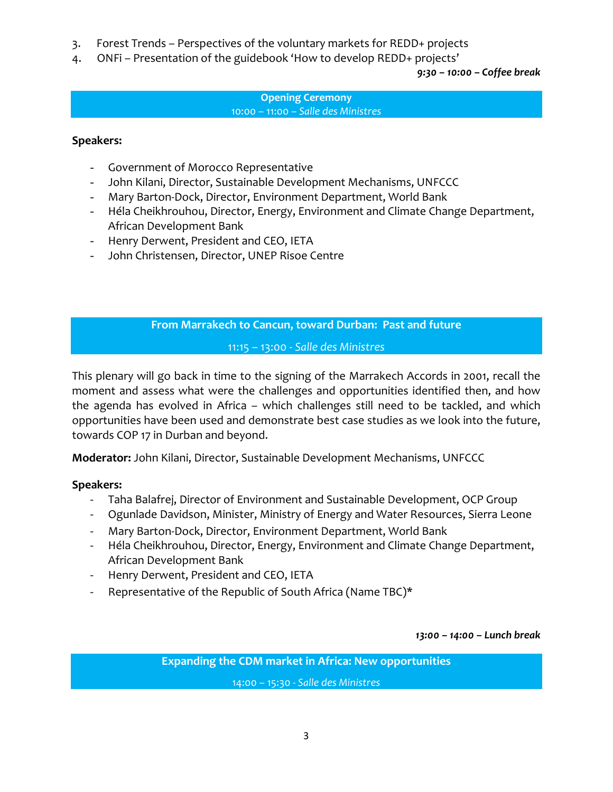- 3. Forest Trends Perspectives of the voluntary markets for REDD+ projects
- 4. ONFi Presentation of the guidebook 'How to develop REDD+ projects'

*9:30 – 10:00 – Coffee break* 

#### **Opening Ceremony**  10:00 – 11:00 – *Salle des Ministres*

#### **Speakers:**

- Government of Morocco Representative
- John Kilani, Director, Sustainable Development Mechanisms, UNFCCC
- Mary Barton‐Dock, Director, Environment Department, World Bank
- Héla Cheikhrouhou, Director, Energy, Environment and Climate Change Department, African Development Bank
- Henry Derwent, President and CEO, IETA
- John Christensen, Director, UNEP Risoe Centre

## **From Marrakech to Cancun, toward Durban: Past and future**

11:15 – 13:00 ‐ *Salle des Ministres*

This plenary will go back in time to the signing of the Marrakech Accords in 2001, recall the moment and assess what were the challenges and opportunities identified then, and how the agenda has evolved in Africa – which challenges still need to be tackled, and which opportunities have been used and demonstrate best case studies as we look into the future, towards COP 17 in Durban and beyond.

**Moderator:** John Kilani, Director, Sustainable Development Mechanisms, UNFCCC

## **Speakers:**

- ‐ Taha Balafrej, Director of Environment and Sustainable Development, OCP Group
- ‐ Ogunlade Davidson, Minister, Ministry of Energy and Water Resources, Sierra Leone
- ‐ Mary Barton‐Dock, Director, Environment Department, World Bank
- ‐ Héla Cheikhrouhou, Director, Energy, Environment and Climate Change Department, African Development Bank
- ‐ Henry Derwent, President and CEO, IETA
- Representative of the Republic of South Africa (Name TBC)\*

*13:00 – 14:00 – Lunch break*

**Expanding the CDM market in Africa: New opportunities**

14:00 – 15:30 ‐ *Salle des Ministres*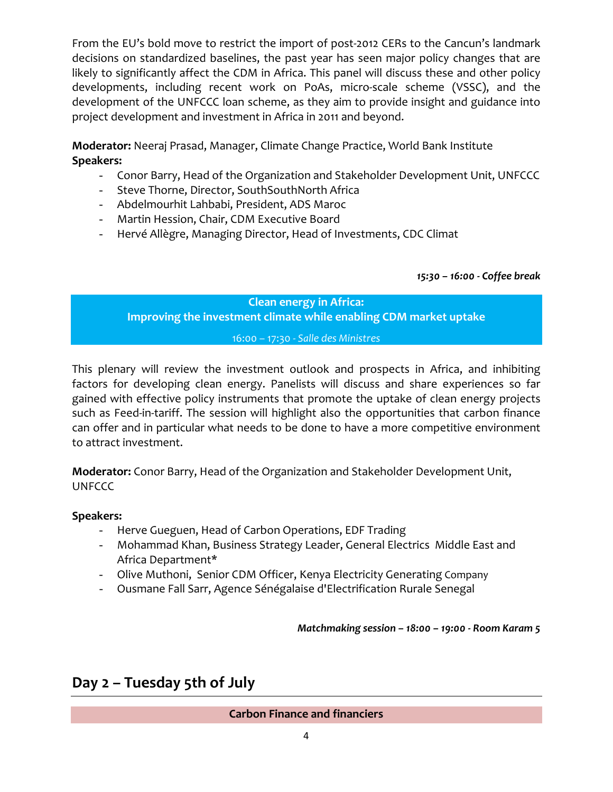From the EU's bold move to restrict the import of post-2012 CERs to the Cancun's landmark decisions on standardized baselines, the past year has seen major policy changes that are likely to significantly affect the CDM in Africa. This panel will discuss these and other policy developments, including recent work on PoAs, micro‐scale scheme (VSSC), and the development of the UNFCCC loan scheme, as they aim to provide insight and guidance into project development and investment in Africa in 2011 and beyond.

**Moderator:** Neeraj Prasad, Manager, Climate Change Practice, World Bank Institute **Speakers:** 

- Conor Barry, Head of the Organization and Stakeholder Development Unit, UNFCCC
- Steve Thorne, Director, SouthSouthNorth Africa
- Abdelmourhit Lahbabi, President, ADS Maroc
- Martin [Hession](http://cdm.unfccc.int/EB/Members/files/bio_hession.pdf), Chair, CDM Executive Board
- Hervé Allègre, Managing Director, Head of Investments, CDC Climat

*15:30 – 16:00 ‐ Coffee break* 

**Clean energy in Africa: Improving the investment climate while enabling CDM market uptake**

16:00 – 17:30 ‐ *Salle des Ministres*

This plenary will review the investment outlook and prospects in Africa, and inhibiting factors for developing clean energy. Panelists will discuss and share experiences so far gained with effective policy instruments that promote the uptake of clean energy projects such as Feed-in-tariff. The session will highlight also the opportunities that carbon finance can offer and in particular what needs to be done to have a more competitive environment to attract investment.

**Moderator:** Conor Barry, Head of the Organization and Stakeholder Development Unit, **UNFCCC** 

## **Speakers:**

- Herve Gueguen, Head of Carbon Operations, EDF Trading
- Mohammad Khan, Business Strategy Leader, General Electrics Middle East and Africa Department\*
- Olive Muthoni, Senior CDM Officer, Kenya Electricity Generating Company
- Ousmane Fall Sarr, Agence Sénégalaise d'Electrification Rurale Senegal

*Matchmaking session – 18:00 – 19:00 ‐ Room Karam 5*

## **Day 2 – Tuesday 5th of July**

## **Carbon Finance and financiers**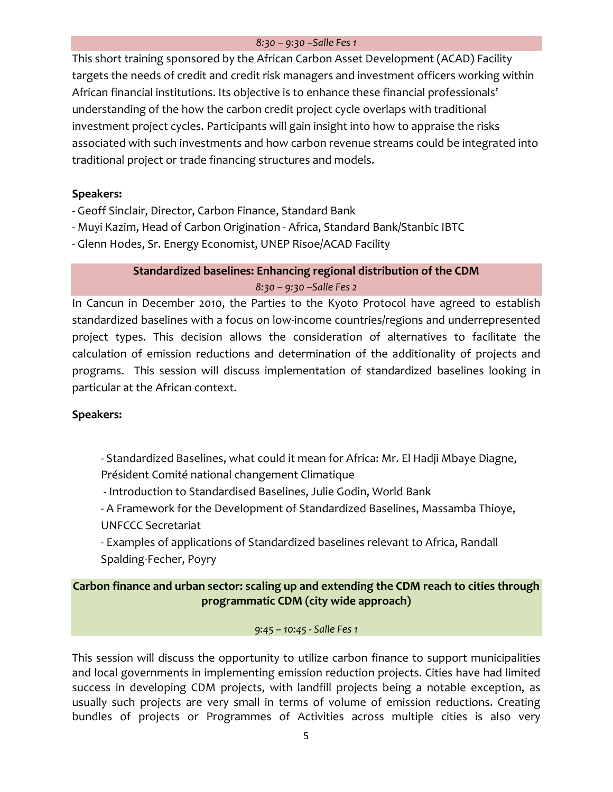#### *8:30 – 9:30 –Salle Fes 1*

This short training sponsored by the African Carbon Asset Development (ACAD) Facility targets the needs of credit and credit risk managers and investment officers working within African financial institutions. Its objective is to enhance these financial professionals' understanding of the how the carbon credit project cycle overlaps with traditional investment project cycles. Participants will gain insight into how to appraise the risks associated with such investments and how carbon revenue streams could be integrated into traditional project or trade financing structures and models.

## **Speakers:**

- ‐ Geoff Sinclair, Director, Carbon Finance, Standard Bank
- ‐ Muyi Kazim, Head of Carbon Origination ‐ Africa, Standard Bank/Stanbic IBTC
- ‐ Glenn Hodes, Sr. Energy Economist, UNEP Risoe/ACAD Facility

## **Standardized baselines: Enhancing regional distribution of the CDM** *8:30 – 9:30 –Salle Fes 2*

In Cancun in December 2010, the Parties to the Kyoto Protocol have agreed to establish standardized baselines with a focus on low-income countries/regions and underrepresented project types. This decision allows the consideration of alternatives to facilitate the calculation of emission reductions and determination of the additionality of projects and programs. This session will discuss implementation of standardized baselines looking in particular at the African context.

## **Speakers:**

‐ Standardized Baselines, what could it mean for Africa: Mr. El Hadji Mbaye Diagne, Président Comité national changement Climatique

‐ Introduction to Standardised Baselines, Julie Godin, World Bank

‐ A Framework for the Development of Standardized Baselines, Massamba Thioye, UNFCCC Secretariat

‐ Examples of applications of Standardized baselines relevant to Africa, Randall

Spalding‐Fecher, Poyry

## **Carbon finance and urban sector: scaling up and extending the CDM reach to cities through programmatic CDM (city wide approach)**

#### *9:45 – 10:45 ‐ Salle Fes 1*

This session will discuss the opportunity to utilize carbon finance to support municipalities and local governments in implementing emission reduction projects. Cities have had limited success in developing CDM projects, with landfill projects being a notable exception, as usually such projects are very small in terms of volume of emission reductions. Creating bundles of projects or Programmes of Activities across multiple cities is also very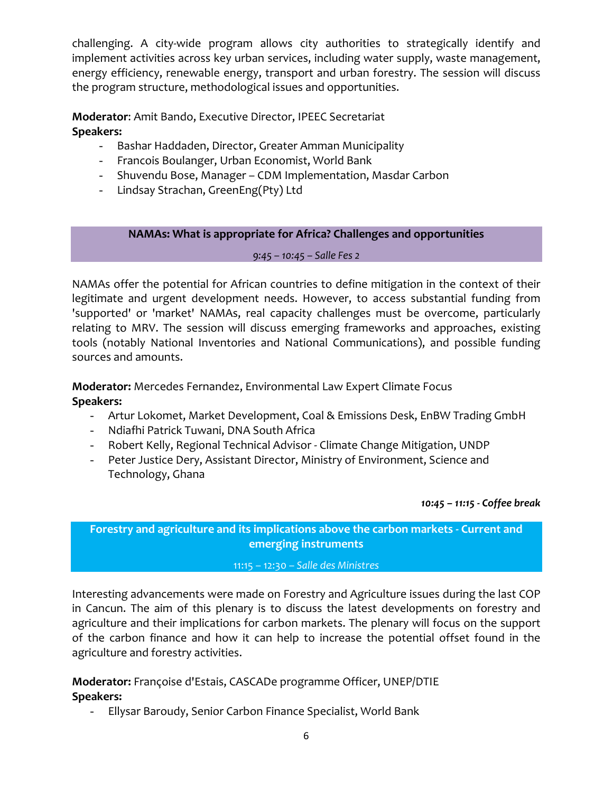challenging. A city-wide program allows city authorities to strategically identify and implement activities across key urban services, including water supply, waste management, energy efficiency, renewable energy, transport and urban forestry. The session will discuss the program structure, methodological issues and opportunities.

**Moderator**: Amit Bando, Executive Director, IPEEC Secretariat **Speakers:**

- Bashar Haddaden, Director, Greater Amman Municipality
- Francois Boulanger, Urban Economist, World Bank
- Shuvendu Bose, Manager CDM Implementation, Masdar Carbon
- Lindsay Strachan, GreenEng(Pty) Ltd

## **NAMAs: What is appropriate for Africa? Challenges and opportunities**

#### *9:45 – 10:45 – Salle Fes 2*

NAMAs offer the potential for African countries to define mitigation in the context of their legitimate and urgent development needs. However, to access substantial funding from 'supported' or 'market' NAMAs, real capacity challenges must be overcome, particularly relating to MRV. The session will discuss emerging frameworks and approaches, existing tools (notably National Inventories and National Communications), and possible funding sources and amounts.

## **Moderator:** Mercedes Fernandez, Environmental Law Expert Climate Focus **Speakers:**

- Artur Lokomet, Market Development, Coal & Emissions Desk, EnBW Trading GmbH
- Ndiafhi Patrick Tuwani, DNA South Africa
- Robert Kelly, Regional Technical Advisor ‐ Climate Change Mitigation, UNDP
- Peter Justice Dery, Assistant Director, Ministry of Environment, Science and Technology, Ghana

#### *10:45 – 11:15 ‐ Coffee break*

**Forestry and agriculture and its implications above the carbon markets ‐ Current and emerging instruments**

#### 11:15 – 12:30 – *Salle des Ministres*

Interesting advancements were made on Forestry and Agriculture issues during the last COP in Cancun. The aim of this plenary is to discuss the latest developments on forestry and agriculture and their implications for carbon markets. The plenary will focus on the support of the carbon finance and how it can help to increase the potential offset found in the agriculture and forestry activities.

## **Moderator:** Françoise d'Estais, CASCADe programme Officer, UNEP/DTIE **Speakers:**

- Ellysar Baroudy, Senior Carbon Finance Specialist, World Bank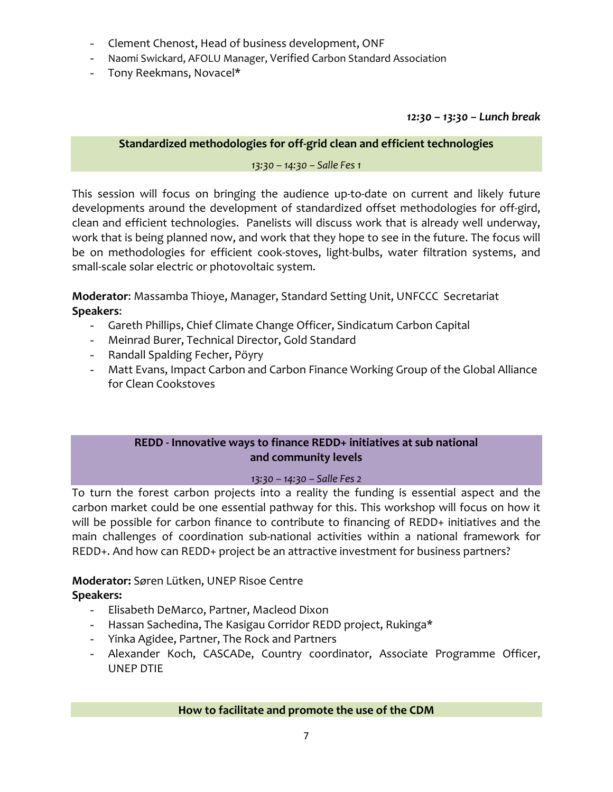- Clement Chenost, Head of business development, ONF
- Naomi Swickard, AFOLU Manager, Verified Carbon Standard Association
- Tony Reekmans, Novacel\*

*12:30 – 13:30 – Lunch break*

## **Standardized methodologies for off‐grid clean and efficient technologies**

*13:30 – 14:30 – Salle Fes 1*

This session will focus on bringing the audience up-to-date on current and likely future developments around the development of standardized offset methodologies for off‐gird, clean and efficient technologies. Panelists will discuss work that is already well underway, work that is being planned now, and work that they hope to see in the future. The focus will be on methodologies for efficient cook‐stoves, light‐bulbs, water filtration systems, and small-scale solar electric or photovoltaic system.

**Moderator**: Massamba Thioye, Manager, Standard Setting Unit, UNFCCC Secretariat **Speakers**:

- Gareth Phillips, Chief Climate Change Officer, Sindicatum Carbon Capital
- Meinrad Burer, Technical Director, Gold Standard
- Randall Spalding Fecher, Pöyry
- Matt Evans, Impact Carbon and Carbon Finance Working Group of the Global Alliance for Clean Cookstoves

## **REDD ‐ Innovative ways to finance REDD+ initiatives at sub national and community levels**

## *13:30 – 14:30 – Salle Fes 2*

To turn the forest carbon projects into a reality the funding is essential aspect and the carbon market could be one essential pathway for this. This workshop will focus on how it will be possible for carbon finance to contribute to financing of REDD+ initiatives and the main challenges of coordination sub-national activities within a national framework for REDD+. And how can REDD+ project be an attractive investment for business partners?

## **Moderator:** Søren Lütken, UNEP Risoe Centre

## **Speakers:**

- Elisabeth DeMarco, Partner, Macleod Dixon
- Hassan Sachedina, The Kasigau Corridor REDD project, Rukinga\*
- Yinka Agidee, Partner, The Rock and Partners
- Alexander Koch, CASCADe, Country coordinator, Associate Programme Officer, UNEP DTIE

**How to facilitate and promote the use of the CDM**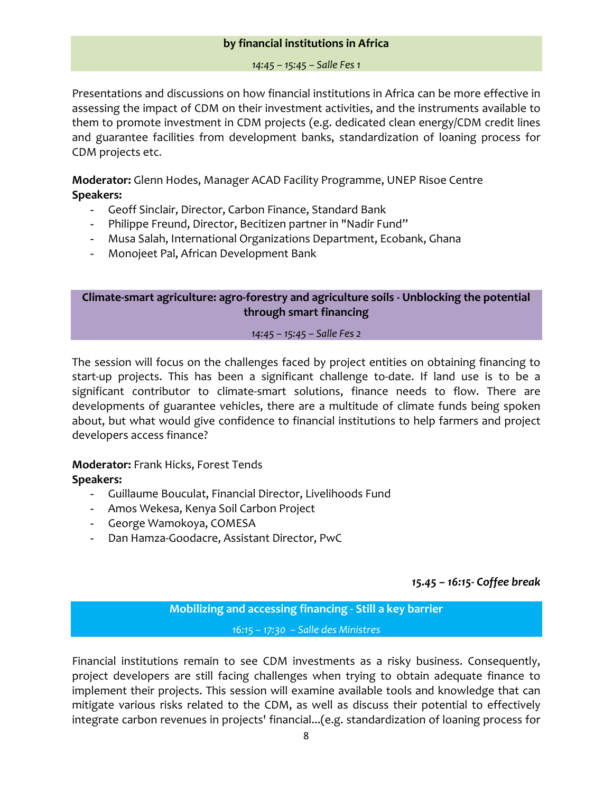#### **by financial institutions in Africa**

#### *14:45 – 15:45 – Salle Fes 1*

Presentations and discussions on how financial institutions in Africa can be more effective in assessing the impact of CDM on their investment activities, and the instruments available to them to promote investment in CDM projects (e.g. dedicated clean energy/CDM credit lines and guarantee facilities from development banks, standardization of loaning process for CDM projects etc.

**Moderator:** Glenn Hodes, Manager ACAD Facility Programme, UNEP Risoe Centre **Speakers:**

- Geoff Sinclair, Director, Carbon Finance, Standard Bank
- Philippe Freund, Director, Becitizen partner in "Nadir Fund"
- Musa Salah, International Organizations Department, Ecobank, Ghana
- Monojeet Pal, African Development Bank

**Climate‐smart agriculture: agro‐forestry and agriculture soils ‐ Unblocking the potential through smart financing**

*14:45 – 15:45 – Salle Fes 2*

The session will focus on the challenges faced by project entities on obtaining financing to start-up projects. This has been a significant challenge to-date. If land use is to be a significant contributor to climate-smart solutions, finance needs to flow. There are developments of guarantee vehicles, there are a multitude of climate funds being spoken about, but what would give confidence to financial institutions to help farmers and project developers access finance?

**Moderator:** Frank Hicks, Forest Tends **Speakers:** 

- Guillaume Bouculat, Financial Director, Livelihoods Fund
- Amos Wekesa, Kenya Soil Carbon Project
- George Wamokoya, COMESA
- Dan Hamza‐Goodacre, Assistant Director, PwC

#### *15.45 – 16:15‐ Coffee break*

**Mobilizing and accessing financing ‐ Still a key barrier** *16:15 – 17:30 – Salle des Ministres*

Financial institutions remain to see CDM investments as a risky business. Consequently, project developers are still facing challenges when trying to obtain adequate finance to implement their projects. This session will examine available tools and knowledge that can mitigate various risks related to the CDM, as well as discuss their potential to effectively integrate carbon revenues in projects' financial...(e.g. standardization of loaning process for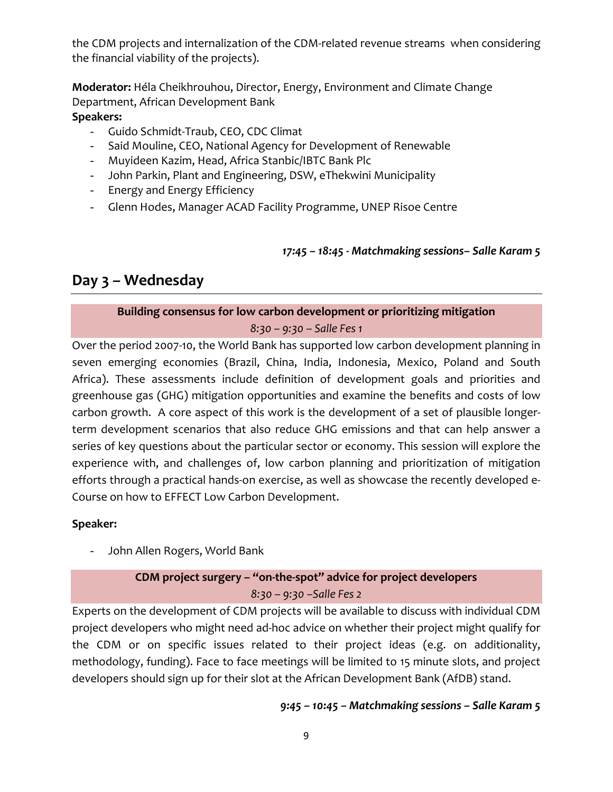the CDM projects and internalization of the CDM‐related revenue streams when considering the financial viability of the projects).

**Moderator:** Héla Cheikhrouhou, Director, Energy, Environment and Climate Change Department, African Development Bank **Speakers:**

- Guido Schmidt‐Traub, CEO, CDC Climat
- Said Mouline, CEO, National Agency for Development of Renewable
- Muyideen Kazim, Head, Africa Stanbic/IBTC Bank Plc
- John Parkin, Plant and Engineering, DSW, eThekwini Municipality
- Energy and Energy Efficiency
- Glenn Hodes, Manager ACAD Facility Programme, UNEP Risoe Centre

*17:45 – 18:45 ‐ Matchmaking sessions– Salle Karam 5*

## **Day 3 – Wednesday**

## **Building consensus for low carbon development or prioritizing mitigation**

*8:30 – 9:30 – Salle Fes 1*

Over the period 2007‐10, the World Bank has supported low carbon development planning in seven emerging economies (Brazil, China, India, Indonesia, Mexico, Poland and South Africa). These assessments include definition of development goals and priorities and greenhouse gas (GHG) mitigation opportunities and examine the benefits and costs of low carbon growth. A core aspect of this work is the development of a set of plausible longer‐ term development scenarios that also reduce GHG emissions and that can help answer a series of key questions about the particular sector or economy. This session will explore the experience with, and challenges of, low carbon planning and prioritization of mitigation efforts through a practical hands-on exercise, as well as showcase the recently developed e-Course on how to EFFECT Low Carbon Development.

## **Speaker:**

- John Allen Rogers, World Bank

## **CDM project surgery – "on‐the‐spot" advice for project developers** *8:30 – 9:30 –Salle Fes 2*

Experts on the development of CDM projects will be available to discuss with individual CDM project developers who might need ad‐hoc advice on whether their project might qualify for the CDM or on specific issues related to their project ideas (e.g. on additionality, methodology, funding). Face to face meetings will be limited to 15 minute slots, and project developers should sign up for their slot at the African Development Bank (AfDB) stand.

*9:45 – 10:45 – Matchmaking sessions – Salle Karam 5*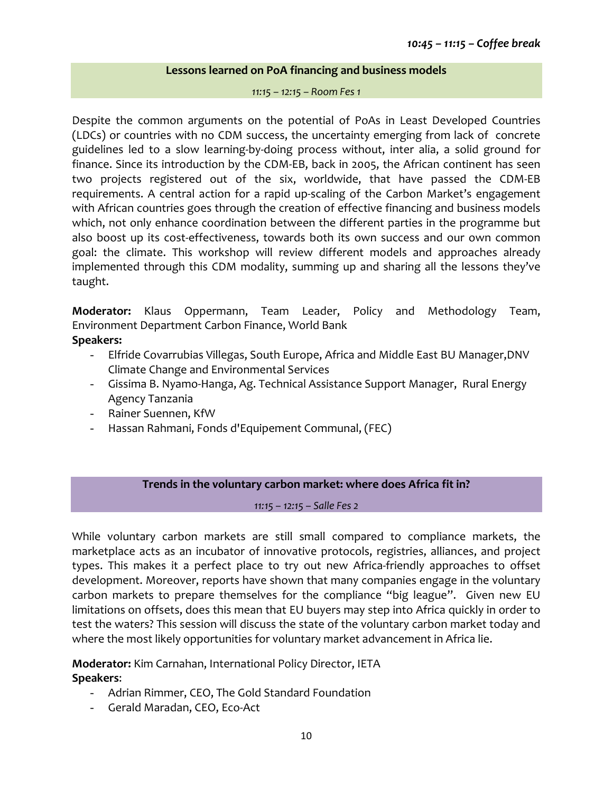#### **Lessons learned on PoA financing and business models**

*11:15 – 12:15 – Room Fes 1*

Despite the common arguments on the potential of PoAs in Least Developed Countries (LDCs) or countries with no CDM success, the uncertainty emerging from lack of concrete guidelines led to a slow learning‐by‐doing process without, inter alia, a solid ground for finance. Since its introduction by the CDM‐EB, back in 2005, the African continent has seen two projects registered out of the six, worldwide, that have passed the CDM‐EB requirements. A central action for a rapid up-scaling of the Carbon Market's engagement with African countries goes through the creation of effective financing and business models which, not only enhance coordination between the different parties in the programme but also boost up its cost-effectiveness, towards both its own success and our own common goal: the climate. This workshop will review different models and approaches already implemented through this CDM modality, summing up and sharing all the lessons they've taught.

**Moderator:** Klaus Oppermann, Team Leader, Policy and Methodology Team, Environment Department Carbon Finance, World Bank

## **Speakers:**

- Elfride Covarrubias Villegas, South Europe, Africa and Middle East BU Manager,DNV Climate Change and Environmental Services
- Gissima B. Nyamo‐Hanga, Ag. Technical Assistance Support Manager, Rural Energy Agency Tanzania
- Rainer Suennen, KfW
- Hassan Rahmani, Fonds d'Equipement Communal, (FEC)

## **Trends in the voluntary carbon market: where does Africa fit in?**

*11:15 – 12:15 – Salle Fes 2*

While voluntary carbon markets are still small compared to compliance markets, the marketplace acts as an incubator of innovative protocols, registries, alliances, and project types. This makes it a perfect place to try out new Africa‐friendly approaches to offset development. Moreover, reports have shown that many companies engage in the voluntary carbon markets to prepare themselves for the compliance "big league". Given new EU limitations on offsets, does this mean that EU buyers may step into Africa quickly in order to test the waters? This session will discuss the state of the voluntary carbon market today and where the most likely opportunities for voluntary market advancement in Africa lie.

**Moderator:** Kim Carnahan, International Policy Director, IETA **Speakers**:

- Adrian Rimmer, CEO, The Gold Standard Foundation
- Gerald Maradan, CEO, Eco‐Act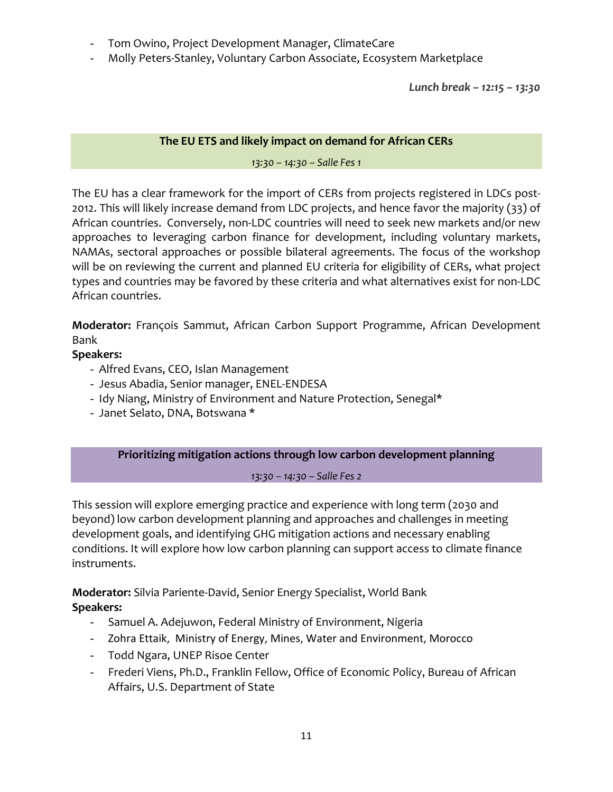- Tom Owino, Project Development Manager, ClimateCare
- Molly Peters-Stanley, Voluntary Carbon Associate, Ecosystem Marketplace

*Lunch break – 12:15 – 13:30*

### **The EU ETS and likely impact on demand for African CERs**

*13:30 – 14:30 – Salle Fes 1*

The EU has a clear framework for the import of CERs from projects registered in LDCs post-2012. This will likely increase demand from LDC projects, and hence favor the majority (33) of African countries. Conversely, non‐LDC countries will need to seek new markets and/or new approaches to leveraging carbon finance for development, including voluntary markets, NAMAs, sectoral approaches or possible bilateral agreements. The focus of the workshop will be on reviewing the current and planned EU criteria for eligibility of CERs, what project types and countries may be favored by these criteria and what alternatives exist for non‐LDC African countries.

**Moderator:** François Sammut, African Carbon Support Programme, African Development Bank

## **Speakers:**

- Alfred Evans, CEO, Islan Management
- Jesus Abadia, Senior manager, ENEL‐ENDESA
- Idy Niang, Ministry of Environment and Nature Protection, Senegal\*
- Janet Selato, DNA, Botswana \*

**Prioritizing mitigation actions through low carbon development planning**

*13:30 – 14:30 – Salle Fes 2*

This session will explore emerging practice and experience with long term (2030 and beyond) low carbon development planning and approaches and challenges in meeting development goals, and identifying GHG mitigation actions and necessary enabling conditions. It will explore how low carbon planning can support access to climate finance instruments.

**Moderator:** Silvia Pariente‐David, Senior Energy Specialist, World Bank **Speakers:**

- Samuel A. Adejuwon, Federal Ministry of Environment, Nigeria
- Zohra Ettaik, Ministry of Energy, Mines, Water and Environment, Morocco
- Todd Ngara, UNEP Risoe Center
- Frederi Viens, Ph.D., Franklin Fellow, Office of Economic Policy, Bureau of African Affairs, U.S. Department of State